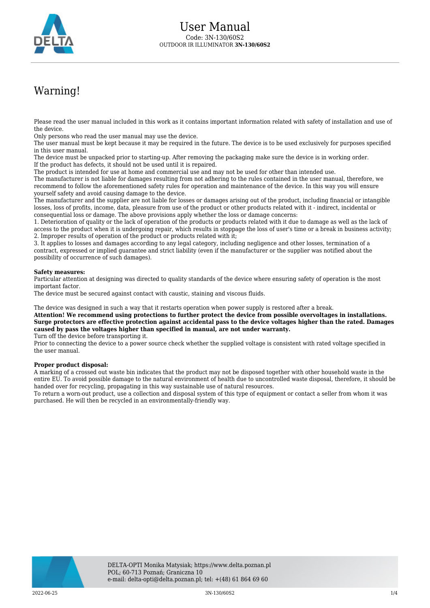

## Warning!

Please read the user manual included in this work as it contains important information related with safety of installation and use of the device.

Only persons who read the user manual may use the device.

The user manual must be kept because it may be required in the future. The device is to be used exclusively for purposes specified in this user manual.

The device must be unpacked prior to starting-up. After removing the packaging make sure the device is in working order. If the product has defects, it should not be used until it is repaired.

The product is intended for use at home and commercial use and may not be used for other than intended use.

The manufacturer is not liable for damages resulting from not adhering to the rules contained in the user manual, therefore, we recommend to follow the aforementioned safety rules for operation and maintenance of the device. In this way you will ensure yourself safety and avoid causing damage to the device.

The manufacturer and the supplier are not liable for losses or damages arising out of the product, including financial or intangible losses, loss of profits, income, data, pleasure from use of the product or other products related with it - indirect, incidental or consequential loss or damage. The above provisions apply whether the loss or damage concerns:

1. Deterioration of quality or the lack of operation of the products or products related with it due to damage as well as the lack of access to the product when it is undergoing repair, which results in stoppage the loss of user's time or a break in business activity; 2. Improper results of operation of the product or products related with it;

3. It applies to losses and damages according to any legal category, including negligence and other losses, termination of a contract, expressed or implied guarantee and strict liability (even if the manufacturer or the supplier was notified about the possibility of occurrence of such damages).

## **Safety measures:**

Particular attention at designing was directed to quality standards of the device where ensuring safety of operation is the most important factor.

The device must be secured against contact with caustic, staining and viscous fluids.

The device was designed in such a way that it restarts operation when power supply is restored after a break.

**Attention! We recommend using protections to further protect the device from possible overvoltages in installations. Surge protectors are effective protection against accidental pass to the device voltages higher than the rated. Damages caused by pass the voltages higher than specified in manual, are not under warranty.**

Turn off the device before transporting it.

Prior to connecting the device to a power source check whether the supplied voltage is consistent with rated voltage specified in the user manual.

## **Proper product disposal:**

A marking of a crossed out waste bin indicates that the product may not be disposed together with other household waste in the entire EU. To avoid possible damage to the natural environment of health due to uncontrolled waste disposal, therefore, it should be handed over for recycling, propagating in this way sustainable use of natural resources.

To return a worn-out product, use a collection and disposal system of this type of equipment or contact a seller from whom it was purchased. He will then be recycled in an environmentally-friendly way.

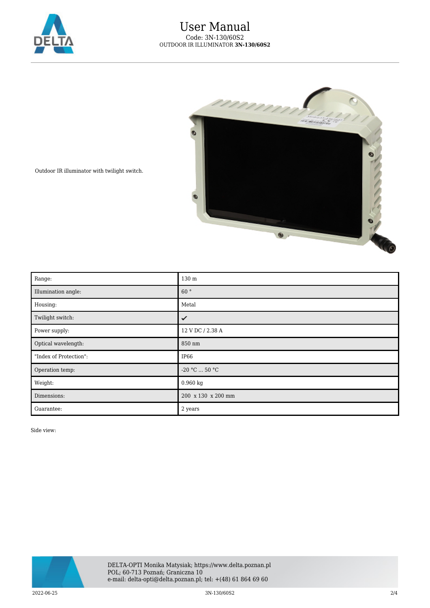



Outdoor IR illuminator with twilight switch.

| Range:                 | 130 m              |
|------------------------|--------------------|
| Illumination angle:    | 60°                |
| Housing:               | Metal              |
| Twilight switch:       | ✓                  |
| Power supply:          | 12 V DC / 2.38 A   |
| Optical wavelength:    | 850 nm             |
| "Index of Protection": | IP <sub>66</sub>   |
| Operation temp:        | $-20$ °C $$ 50 °C  |
| Weight:                | 0.960 kg           |
| Dimensions:            | 200 x 130 x 200 mm |
| Guarantee:             | 2 years            |

Side view:



2022-06-25 3N-130/60S2 2/4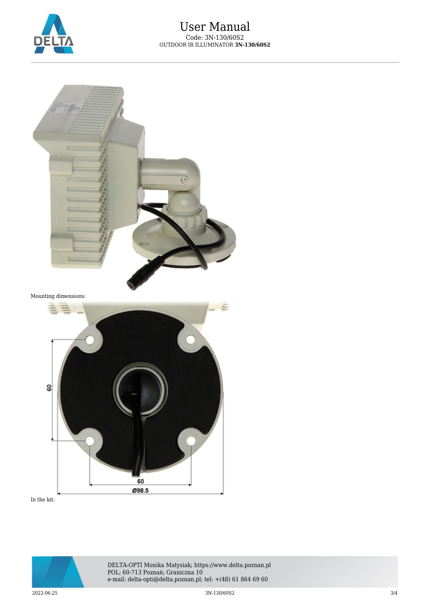



In the kit: